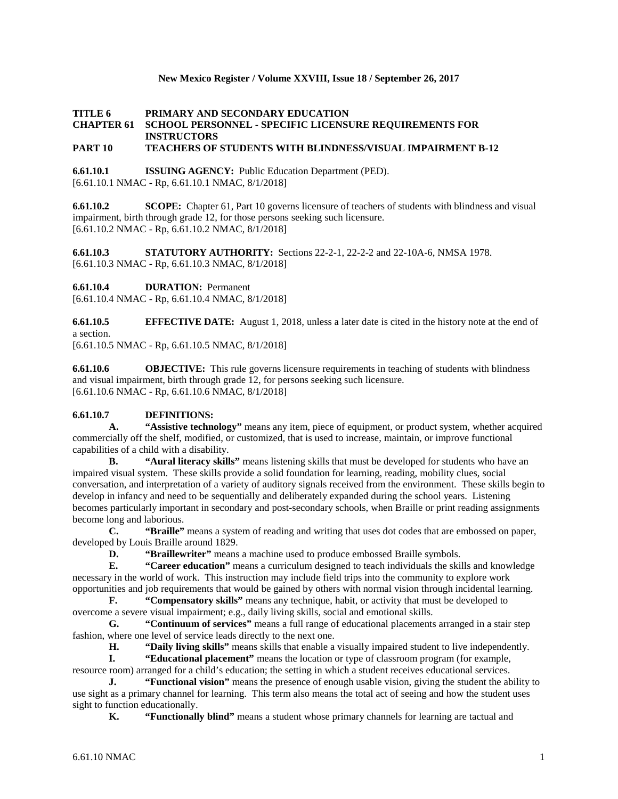### **New Mexico Register / Volume XXVIII, Issue 18 / September 26, 2017**

## **TITLE 6 PRIMARY AND SECONDARY EDUCATION CHAPTER 61 SCHOOL PERSONNEL - SPECIFIC LICENSURE REQUIREMENTS FOR INSTRUCTORS**

## **PART 10 TEACHERS OF STUDENTS WITH BLINDNESS/VISUAL IMPAIRMENT B-12**

**6.61.10.1 ISSUING AGENCY:** Public Education Department (PED). [6.61.10.1 NMAC - Rp, 6.61.10.1 NMAC, 8/1/2018]

**6.61.10.2 SCOPE:** Chapter 61, Part 10 governs licensure of teachers of students with blindness and visual impairment, birth through grade 12, for those persons seeking such licensure. [6.61.10.2 NMAC - Rp, 6.61.10.2 NMAC, 8/1/2018]

**6.61.10.3 STATUTORY AUTHORITY:** Sections 22-2-1, 22-2-2 and 22-10A-6, NMSA 1978. [6.61.10.3 NMAC - Rp, 6.61.10.3 NMAC, 8/1/2018]

**6.61.10.4 DURATION:** Permanent

[6.61.10.4 NMAC - Rp, 6.61.10.4 NMAC, 8/1/2018]

**6.61.10.5 EFFECTIVE DATE:** August 1, 2018, unless a later date is cited in the history note at the end of a section.

[6.61.10.5 NMAC - Rp, 6.61.10.5 NMAC, 8/1/2018]

**6.61.10.6 OBJECTIVE:** This rule governs licensure requirements in teaching of students with blindness and visual impairment, birth through grade 12, for persons seeking such licensure. [6.61.10.6 NMAC - Rp, 6.61.10.6 NMAC, 8/1/2018]

# 6.61.10.7 **DEFINITIONS:**<br>A. "Assistive techno

**A. "Assistive technology"** means any item, piece of equipment, or product system, whether acquired commercially off the shelf, modified, or customized, that is used to increase, maintain, or improve functional capabilities of a child with a disability.

**B. "Aural literacy skills"** means listening skills that must be developed for students who have an impaired visual system. These skills provide a solid foundation for learning, reading, mobility clues, social conversation, and interpretation of a variety of auditory signals received from the environment. These skills begin to develop in infancy and need to be sequentially and deliberately expanded during the school years. Listening becomes particularly important in secondary and post-secondary schools, when Braille or print reading assignments become long and laborious.

**C. "Braille"** means a system of reading and writing that uses dot codes that are embossed on paper, developed by Louis Braille around 1829.

**D. "Braillewriter"** means a machine used to produce embossed Braille symbols.

**E. "Career education"** means a curriculum designed to teach individuals the skills and knowledge necessary in the world of work. This instruction may include field trips into the community to explore work opportunities and job requirements that would be gained by others with normal vision through incidental learning.

**F. "Compensatory skills"** means any technique, habit, or activity that must be developed to overcome a severe visual impairment; e.g., daily living skills, social and emotional skills.

**G. "Continuum of services"** means a full range of educational placements arranged in a stair step fashion, where one level of service leads directly to the next one.

**H. "Daily living skills"** means skills that enable a visually impaired student to live independently.

**I. "Educational placement"** means the location or type of classroom program (for example, resource room) arranged for a child's education; the setting in which a student receives educational services.

**J. "Functional vision"** means the presence of enough usable vision, giving the student the ability to use sight as a primary channel for learning. This term also means the total act of seeing and how the student uses sight to function educationally.

**K. "Functionally blind"** means a student whose primary channels for learning are tactual and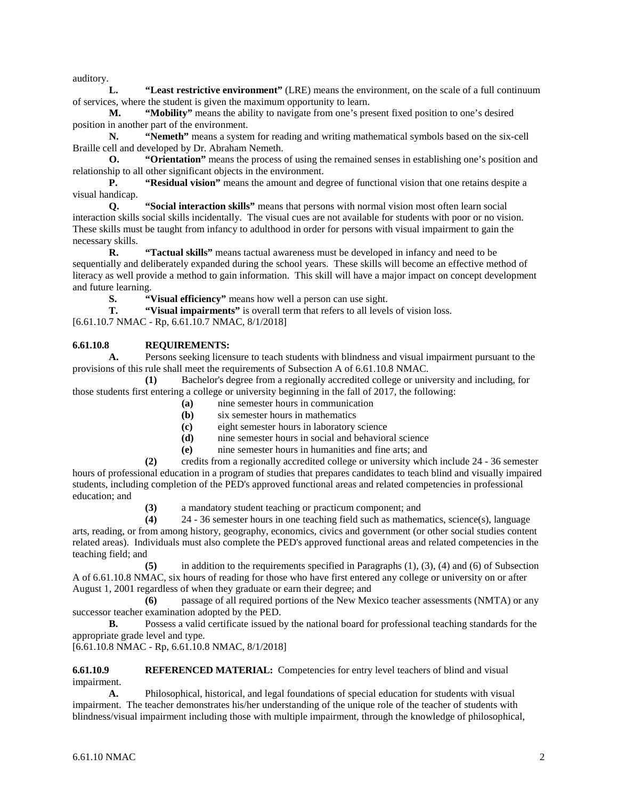auditory.

**L. "Least restrictive environment"** (LRE) means the environment, on the scale of a full continuum of services, where the student is given the maximum opportunity to learn.

**M. "Mobility"** means the ability to navigate from one's present fixed position to one's desired position in another part of the environment.

**N. "Nemeth"** means a system for reading and writing mathematical symbols based on the six-cell Braille cell and developed by Dr. Abraham Nemeth.

**O. "Orientation"** means the process of using the remained senses in establishing one's position and relationship to all other significant objects in the environment.

**P. "Residual vision"** means the amount and degree of functional vision that one retains despite a visual handicap.

**Q. "Social interaction skills"** means that persons with normal vision most often learn social interaction skills social skills incidentally. The visual cues are not available for students with poor or no vision. These skills must be taught from infancy to adulthood in order for persons with visual impairment to gain the necessary skills.

**R. "Tactual skills"** means tactual awareness must be developed in infancy and need to be sequentially and deliberately expanded during the school years. These skills will become an effective method of literacy as well provide a method to gain information. This skill will have a major impact on concept development and future learning.<br>S.

**S. Example 3.1 • S. Wisual efficiency**" means how well a person can use sight.<br> **T. Wisual impairments**" is overall term that refers to all level

"Visual impairments" is overall term that refers to all levels of vision loss.

[6.61.10.7 NMAC - Rp, 6.61.10.7 NMAC, 8/1/2018]

### **6.61.10.8 REQUIREMENTS:**

**A.** Persons seeking licensure to teach students with blindness and visual impairment pursuant to the provisions of this rule shall meet the requirements of Subsection A of 6.61.10.8 NMAC.

**(1)** Bachelor's degree from a regionally accredited college or university and including, for those students first entering a college or university beginning in the fall of 2017, the following:

- **(a)** nine semester hours in communication
- **(b)** six semester hours in mathematics
- **(c)** eight semester hours in laboratory science
- **(d)** nine semester hours in social and behavioral science
- **(e)** nine semester hours in humanities and fine arts; and

**(2)** credits from a regionally accredited college or university which include 24 - 36 semester hours of professional education in a program of studies that prepares candidates to teach blind and visually impaired students, including completion of the PED's approved functional areas and related competencies in professional education; and

**(3)** a mandatory student teaching or practicum component; and

**(4)** 24 - 36 semester hours in one teaching field such as mathematics, science(s), language arts, reading, or from among history, geography, economics, civics and government (or other social studies content related areas). Individuals must also complete the PED's approved functional areas and related competencies in the teaching field; and

**(5)** in addition to the requirements specified in Paragraphs (1), (3), (4) and (6) of Subsection A of 6.61.10.8 NMAC, six hours of reading for those who have first entered any college or university on or after August 1, 2001 regardless of when they graduate or earn their degree; and

**(6)** passage of all required portions of the New Mexico teacher assessments (NMTA) or any successor teacher examination adopted by the PED.

**B.** Possess a valid certificate issued by the national board for professional teaching standards for the appropriate grade level and type.

[6.61.10.8 NMAC - Rp, 6.61.10.8 NMAC, 8/1/2018]

**6.61.10.9 REFERENCED MATERIAL:** Competencies for entry level teachers of blind and visual impairment.

**A.** Philosophical, historical, and legal foundations of special education for students with visual impairment. The teacher demonstrates his/her understanding of the unique role of the teacher of students with blindness/visual impairment including those with multiple impairment, through the knowledge of philosophical,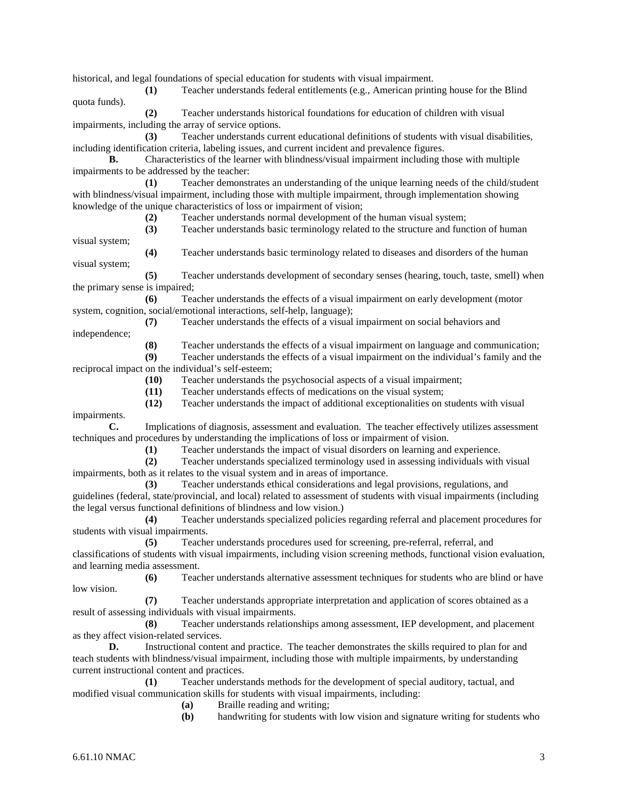historical, and legal foundations of special education for students with visual impairment.

**(1)** Teacher understands federal entitlements (e.g., American printing house for the Blind quota funds).

**(2)** Teacher understands historical foundations for education of children with visual impairments, including the array of service options.

**(3)** Teacher understands current educational definitions of students with visual disabilities, including identification criteria, labeling issues, and current incident and prevalence figures.

**B.** Characteristics of the learner with blindness/visual impairment including those with multiple impairments to be addressed by the teacher:

**(1)** Teacher demonstrates an understanding of the unique learning needs of the child/student with blindness/visual impairment, including those with multiple impairment, through implementation showing knowledge of the unique characteristics of loss or impairment of vision;

**(2)** Teacher understands normal development of the human visual system;

**(3)** Teacher understands basic terminology related to the structure and function of human visual system;

**(4)** Teacher understands basic terminology related to diseases and disorders of the human visual system;

**(5)** Teacher understands development of secondary senses (hearing, touch, taste, smell) when the primary sense is impaired;

**(6)** Teacher understands the effects of a visual impairment on early development (motor system, cognition, social/emotional interactions, self-help, language);

**(7)** Teacher understands the effects of a visual impairment on social behaviors and

independence;

**(8)** Teacher understands the effects of a visual impairment on language and communication;

**(9)** Teacher understands the effects of a visual impairment on the individual's family and the reciprocal impact on the individual's self-esteem;

**(10)** Teacher understands the psychosocial aspects of a visual impairment;

**(11)** Teacher understands effects of medications on the visual system;

**(12)** Teacher understands the impact of additional exceptionalities on students with visual

impairments.

**C.** Implications of diagnosis, assessment and evaluation. The teacher effectively utilizes assessment techniques and procedures by understanding the implications of loss or impairment of vision.

**(1)** Teacher understands the impact of visual disorders on learning and experience.

**(2)** Teacher understands specialized terminology used in assessing individuals with visual impairments, both as it relates to the visual system and in areas of importance.

**(3)** Teacher understands ethical considerations and legal provisions, regulations, and guidelines (federal, state/provincial, and local) related to assessment of students with visual impairments (including the legal versus functional definitions of blindness and low vision.)

**(4)** Teacher understands specialized policies regarding referral and placement procedures for students with visual impairments.

**(5)** Teacher understands procedures used for screening, pre-referral, referral, and classifications of students with visual impairments, including vision screening methods, functional vision evaluation, and learning media assessment.

**(6)** Teacher understands alternative assessment techniques for students who are blind or have low vision.

**(7)** Teacher understands appropriate interpretation and application of scores obtained as a result of assessing individuals with visual impairments.

**(8)** Teacher understands relationships among assessment, IEP development, and placement as they affect vision-related services.

**D.** Instructional content and practice. The teacher demonstrates the skills required to plan for and teach students with blindness/visual impairment, including those with multiple impairments, by understanding current instructional content and practices.

**(1)** Teacher understands methods for the development of special auditory, tactual, and modified visual communication skills for students with visual impairments, including:

- **(a)** Braille reading and writing;
- **(b)** handwriting for students with low vision and signature writing for students who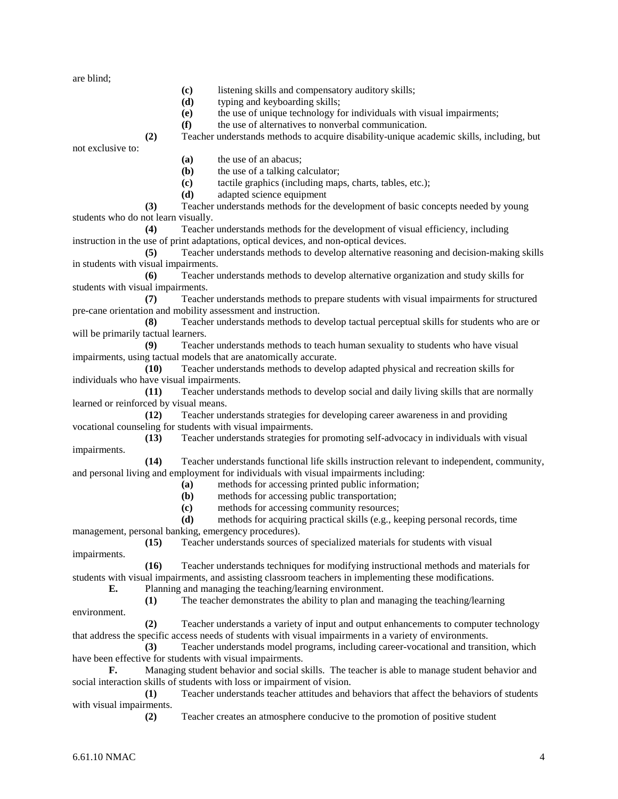are blind;

- **(c)** listening skills and compensatory auditory skills;
- **(d)** typing and keyboarding skills;
- **(e)** the use of unique technology for individuals with visual impairments;
- **(f)** the use of alternatives to nonverbal communication.

**(2)** Teacher understands methods to acquire disability-unique academic skills, including, but

not exclusive to:

- **(a)** the use of an abacus;
- **(b)** the use of a talking calculator;
- **(c)** tactile graphics (including maps, charts, tables, etc.);
- **(d)** adapted science equipment

**(3)** Teacher understands methods for the development of basic concepts needed by young students who do not learn visually.

**(4)** Teacher understands methods for the development of visual efficiency, including instruction in the use of print adaptations, optical devices, and non-optical devices.

**(5)** Teacher understands methods to develop alternative reasoning and decision-making skills in students with visual impairments.

**(6)** Teacher understands methods to develop alternative organization and study skills for students with visual impairments.

**(7)** Teacher understands methods to prepare students with visual impairments for structured pre-cane orientation and mobility assessment and instruction.

**(8)** Teacher understands methods to develop tactual perceptual skills for students who are or will be primarily tactual learners.

**(9)** Teacher understands methods to teach human sexuality to students who have visual impairments, using tactual models that are anatomically accurate.

**(10)** Teacher understands methods to develop adapted physical and recreation skills for individuals who have visual impairments.

**(11)** Teacher understands methods to develop social and daily living skills that are normally learned or reinforced by visual means.

**(12)** Teacher understands strategies for developing career awareness in and providing vocational counseling for students with visual impairments.<br>(13) Teacher understands strategies for

**(13)** Teacher understands strategies for promoting self-advocacy in individuals with visual impairments.

**(14)** Teacher understands functional life skills instruction relevant to independent, community, and personal living and employment for individuals with visual impairments including:

**(a)** methods for accessing printed public information;

- **(b)** methods for accessing public transportation;
- **(c)** methods for accessing community resources;

**(d)** methods for acquiring practical skills (e.g., keeping personal records, time management, personal banking, emergency procedures).

**(15)** Teacher understands sources of specialized materials for students with visual impairments.

**(16)** Teacher understands techniques for modifying instructional methods and materials for students with visual impairments, and assisting classroom teachers in implementing these modifications.

**E.** Planning and managing the teaching/learning environment.

**(1)** The teacher demonstrates the ability to plan and managing the teaching/learning

**(2)** Teacher understands a variety of input and output enhancements to computer technology that address the specific access needs of students with visual impairments in a variety of environments.

**(3)** Teacher understands model programs, including career-vocational and transition, which have been effective for students with visual impairments.

**F.** Managing student behavior and social skills. The teacher is able to manage student behavior and social interaction skills of students with loss or impairment of vision.

**(1)** Teacher understands teacher attitudes and behaviors that affect the behaviors of students with visual impairments.

**(2)** Teacher creates an atmosphere conducive to the promotion of positive student

environment.